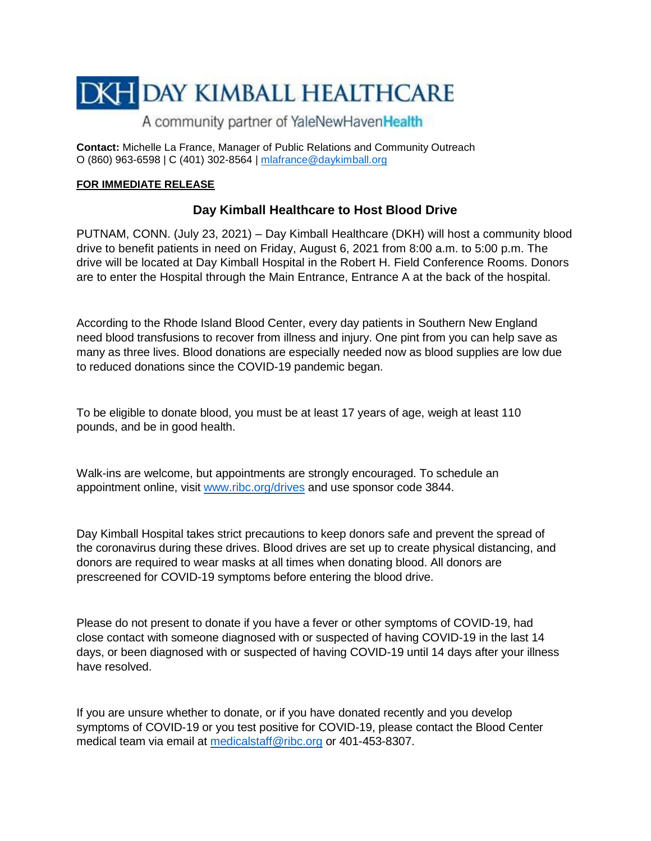# **DKH DAY KIMBALL HEALTHCARE**

## A community partner of YaleNewHavenHealth

**Contact:** Michelle La France, Manager of Public Relations and Community Outreach O (860) 963-6598 | C (401) 302-8564 | [mlafrance@daykimball.org](mailto:mlafrance@daykimball.org)

### **FOR IMMEDIATE RELEASE**

## **Day Kimball Healthcare to Host Blood Drive**

PUTNAM, CONN. (July 23, 2021) – Day Kimball Healthcare (DKH) will host a community blood drive to benefit patients in need on Friday, August 6, 2021 from 8:00 a.m. to 5:00 p.m. The drive will be located at Day Kimball Hospital in the Robert H. Field Conference Rooms. Donors are to enter the Hospital through the Main Entrance, Entrance A at the back of the hospital.

According to the Rhode Island Blood Center, every day patients in Southern New England need blood transfusions to recover from illness and injury. One pint from you can help save as many as three lives. Blood donations are especially needed now as blood supplies are low due to reduced donations since the COVID-19 pandemic began.

To be eligible to donate blood, you must be at least 17 years of age, weigh at least 110 pounds, and be in good health.

Walk-ins are welcome, but appointments are strongly encouraged. To schedule an appointment online, visit [www.ribc.org/drives](http://www.ribc.org/drives) and use sponsor code 3844.

Day Kimball Hospital takes strict precautions to keep donors safe and prevent the spread of the coronavirus during these drives. Blood drives are set up to create physical distancing, and donors are required to wear masks at all times when donating blood. All donors are prescreened for COVID-19 symptoms before entering the blood drive.

Please do not present to donate if you have a fever or other symptoms of COVID-19, had close contact with someone diagnosed with or suspected of having COVID-19 in the last 14 days, or been diagnosed with or suspected of having COVID-19 until 14 days after your illness have resolved.

If you are unsure whether to donate, or if you have donated recently and you develop symptoms of COVID-19 or you test positive for COVID-19, please contact the Blood Center medical team via email at [medicalstaff@ribc.org](mailto:medicalstaff@ribc.org) or 401-453-8307.